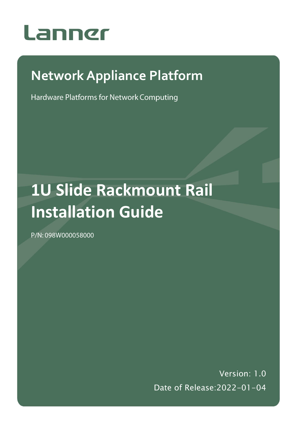

# **Network Appliance Platform**

Hardware Platforms for Network Computing

# **1U Slide Rackmount Rail Installation Guide**

P/N: 098W000058000

Version: 1.0 Date of Release:2022-01-04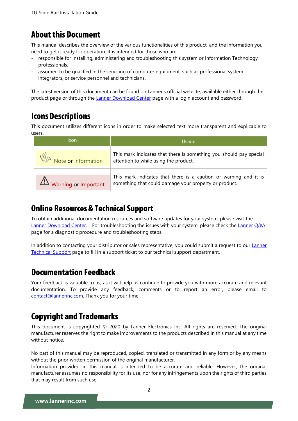### **About this Document**

This manual describes the overview of the various functionalities of this product, and the information you need to get it ready for operation. It is intended for those who are:

- responsible for installing, administering and troubleshooting this system or Information Technology professionals.
- assumed to be qualified in the servicing of computer equipment, such as professional system integrators, or service personnel and technicians.

The latest version of this document can be found on Lanner's official website, available either through the product page or through the [Lanner Download Center](https://lannerinc.com/support/download-center) page with a login account and password.

# **Icons Descriptions**

This document utilizes different icons in order to make selected text more transparent and explicable to users.

| Icon                 | Usage                                                                                                                     |
|----------------------|---------------------------------------------------------------------------------------------------------------------------|
| Note or Information  | This mark indicates that there is something you should pay special<br>attention to while using the product.               |
| Warning or Important | This mark indicates that there is a caution or warning and it is<br>something that could damage your property or product. |

#### **Online Resources & Technical Support**

To obtain additional documentation resources and software updates for your system, please visit [the](http://www.lannerinc.com/download-center) [Lanner Download Center.](https://lannerinc.com/support/download-center) For troubleshooting the issues with your system, please check the [Lanner Q&A](https://lannerinc.com/support/frequently-asked-questions/network-appliances) page for a diagnostic procedure and troubleshooting steps.

In addition to contacting your distributor or sales representative, you could submit a request to our [Lanner](https://lannerinc.com/contact/technical-support) [Technical Support](https://lannerinc.com/contact/technical-support) page to fill in a support ticket to our technical support department.

#### **Documentation Feedback**

Your feedback is valuable to us, as it will help us continue to provide you with more accurate and relevant documentation. To provide any feedback, comments or to report an error, please email to [contact@lannerinc.com.](mailto:contact@lannerinc.com) Thank you for your time.

# **Copyright and Trademarks**

This document is copyrighted © 2020 by Lanner Electronics Inc. All rights are reserved. The original manufacturer reserves the right to make improvements to the products described in this manual at any time without notice.

No part of this manual may be reproduced, copied, translated or transmitted in any form or by any means without the prior written permission of the original manufacturer.

Information provided in this manual is intended to be accurate and reliable. However, the original manufacturer assumes no responsibility for its use, nor for any infringements upon the rights of third parties that may result from such use.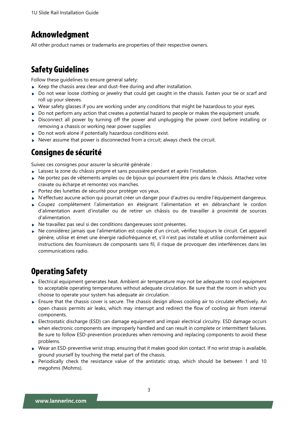### **Acknowledgment**

All other product names or trademarks are properties of their respective owners.

## **Safety Guidelines**

Follow these guidelines to ensure general safety:

- Keep the chassis area clear and dust-free during and after installation.
- Do not wear loose clothing or jewelry that could get caught in the chassis. Fasten your tie or scarf and roll up your sleeves.
- $\triangleright$  Wear safety glasses if you are working under any conditions that might be hazardous to your eyes.
- $\triangleright$  Do not perform any action that creates a potential hazard to people or makes the equipment unsafe.
- Disconnect all power by turning off the power and unplugging the power cord before installing or removing a chassis or working near power supplies
- ▶ Do not work alone if potentially hazardous conditions exist.
- $\triangleright$  Never assume that power is disconnected from a circuit; always check the circuit.

### Consignes de sécurité

Suivez ces consignes pour assurer la sécurité générale :

- Laissez la zone du châssis propre et sans poussière pendant et après l'installation.
- Ne portez pas de vêtements amples ou de bijoux qui pourraient être pris dans le châssis. Attachez votre cravate ou écharpe et remontez vos manches.
- Portez des lunettes de sécurité pour protéger vos yeux.
- N'effectuez aucune action qui pourrait créer un danger pour d'autres ou rendre l'équipement dangereux.
- Coupez complètement l'alimentation en éteignant l'alimentation et en débranchant le cordon d'alimentation avant d'installer ou de retirer un châssis ou de travailler à proximité de sources d'alimentation.
- Ne travaillez pas seul si des conditions dangereuses sont présentes.
- Ne considérez jamais que l'alimentation est coupée d'un circuit, vérifiez toujours le circuit. Cet appareil génère, utilise et émet une énergie radiofréquence et, s'il n'est pas installé et utilisé conformément aux instructions des fournisseurs de composants sans fil, il risque de provoquer des interférences dans les communications radio.

# **Operating Safety**

- Electrical equipment generates heat. Ambient air temperature may not be adequate to cool equipment to acceptable operating temperatures without adequate circulation. Be sure that the room in which you choose to operate your system has adequate air circulation.
- Ensure that the chassis cover is secure. The chassis design allows cooling air to circulate effectively. An open chassis permits air leaks, which may interrupt and redirect the flow of cooling air from internal components.
- Electrostatic discharge (ESD) can damage equipment and impair electrical circuitry. ESD damage occurs when electronic components are improperly handled and can result in complete or intermittent failures. Be sure to follow ESD-prevention procedures when removing and replacing components to avoid these problems.
- Wear an ESD-preventive wrist strap, ensuring that it makes good skin contact. If no wrist strap is available, ground yourself by touching the metal part of the chassis.
- $\triangleright$  Periodically check the resistance value of the antistatic strap, which should be between 1 and 10 megohms (Mohms).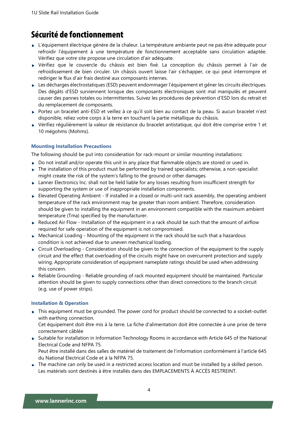# Sécurité de fonctionnement

- L'équipement électrique génère de la chaleur. La température ambiante peut ne pas être adéquate pour refroidir l'équipement à une température de fonctionnement acceptable sans circulation adaptée. Vérifiez que votre site propose une circulation d'air adéquate.
- Vérifiez que le couvercle du châssis est bien fixé. La conception du châssis permet à l'air de refroidissement de bien circuler. Un châssis ouvert laisse l'air s'échapper, ce qui peut interrompre et rediriger le flux d'air frais destiné aux composants internes.
- ► Les décharges électrostatiques (ESD) peuvent endommager l'équipement et gêner les circuits électriques. Des dégâts d'ESD surviennent lorsque des composants électroniques sont mal manipulés et peuvent causer des pannes totales ou intermittentes. Suivez les procédures de prévention d'ESD lors du retrait et du remplacement de composants.
- Portez un bracelet anti-ESD et veillez à ce qu'il soit bien au contact de la peau. Si aucun bracelet n'est disponible, reliez votre corps à la terre en touchant la partie métallique du châssis.
- Vérifiez régulièrement la valeur de résistance du bracelet antistatique, qui doit être comprise entre 1 et 10 mégohms (Mohms).

#### **Mounting Installation Precautions**

The following should be put into consideration for rack-mount or similar mounting installations:

- $\triangleright$  Do not install and/or operate this unit in any place that flammable objects are stored or used in.
- $\triangleright$  The installation of this product must be performed by trained specialists; otherwise, a non-specialist might create the risk of the system's falling to the ground or other damages.
- ► Lanner Electronics Inc. shall not be held liable for any losses resulting from insufficient strength for supporting the system or use of inappropriate installation components.
- Elevated Operating Ambient If installed in a closed or multi-unit rack assembly, the operating ambient temperature of the rack environment may be greater than room ambient. Therefore, consideration should be given to installing the equipment in an environment compatible with the maximum ambient temperature (Tma) specified by the manufacturer.
- $\triangleright$  Reduced Air Flow Installation of the equipment in a rack should be such that the amount of airflow required for safe operation of the equipment is not compromised.
- $\triangleright$  Mechanical Loading Mounting of the equipment in the rack should be such that a hazardous condition is not achieved due to uneven mechanical loading.
- $\triangleright$  Circuit Overloading Consideration should be given to the connection of the equipment to the supply circuit and the effect that overloading of the circuits might have on overcurrent protection and supply wiring. Appropriate consideration of equipment nameplate ratings should be used when addressing this concern.
- Reliable Grounding Reliable grounding of rack mounted equipment should be maintained. Particular attention should be given to supply connections other than direct connections to the branch circuit (e.g. use of power strips).

#### **Installation & Operation**

 $\blacktriangleright$  This equipment must be grounded. The power cord for product should be connected to a socket-outlet with earthing connection.

Cet équipement doit être mis à la terre. La fiche d'alimentation doit être connectée à une prise de terre correctement câblée

- Suitable for installation in Information Technology Rooms in accordance with Article 645 of the National Electrical Code and NFPA 75. Peut être installé dans des salles de matériel de traitement de l'information conformément à l'article 645 du National Electrical Code et à la NFPA 75.
- $\triangleright$  The machine can only be used in a restricted access location and must be installed by a skilled person. Les matériels sont destinés à être installés dans des EMPLACEMENTS À ACCÈS RESTREINT.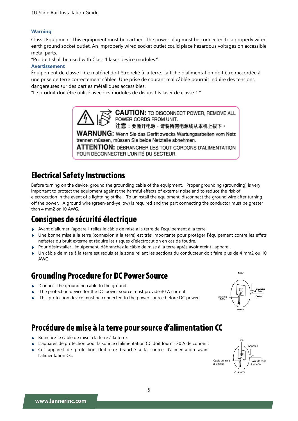#### **Warning**

Class I Equipment. This equipment must be earthed. The power plug must be connected to a properly wired earth ground socket outlet. An improperly wired socket outlet could place hazardous voltages on accessible metal parts.

"Product shall be used with Class 1 laser device modules."

#### **Avertissement**

Équipement de classe I. Ce matériel doit être relié à la terre. La fiche d'alimentation doit être raccordée à une prise de terre correctement câblée. Une prise de courant mal câblée pourrait induire des tensions dangereuses sur des parties métalliques accessibles.

"Le produit doit être utilisé avec des modules de dispositifs laser de classe 1."



**WARNUNG:** Wenn Sie das Gerät zwecks Wartungsarbeiten vom Netz

trennen müssen, müssen Sie beide Netzteile abnehmen.

**ATTENTION: DÉBRANCHER LES TOUT CORDONS D'ALIMENTATION** POUR DÉCONNECTER L'UNITÉ DU SECTEUR.

# **Electrical Safety Instructions**

Before turning on the device, ground the grounding cable of the equipment. Proper grounding (grounding) is very important to protect the equipment against the harmful effects of external noise and to reduce the risk of electrocution in the event of a lightning strike. To uninstall the equipment, disconnect the ground wire after turning off the power. A ground wire (green-and-yellow) is required and the part connecting the conductor must be greater than 4 mm2 or 10 AWG.

### Consignes de sécurité électrique

- Avant d'allumer l'appareil, reliez le câble de mise à la terre de l'équipement à la terre.
- Une bonne mise à la terre (connexion à la terre) est très importante pour protéger l'équipement contre les effets néfastes du bruit externe et réduire les risques d'électrocution en cas de foudre.
- Pour désinstaller l'équipement, débranchez le câble de mise à la terre après avoir éteint l'appareil.
- Un câble de mise à la terre est requis et la zone reliant les sections du conducteur doit faire plus de 4 mm2 ou 10 AWG.

### **Grounding Procedure for DC Power Source**

- $\blacktriangleright$  Connect the grounding cable to the ground.
- The protection device for the DC power source must provide 30 A current.
- This protection device must be connected to the power source before DC power.

#### Procédure de mise à la terre pour source d'alimentation CC

- Branchez le câble de mise à la terre à la terre.
- L'appareil de protection pour la source d'alimentation CC doit fournir 30 A de courant.
- Cet appareil de protection doit être branché à la source d'alimentation avant l'alimentation CC.

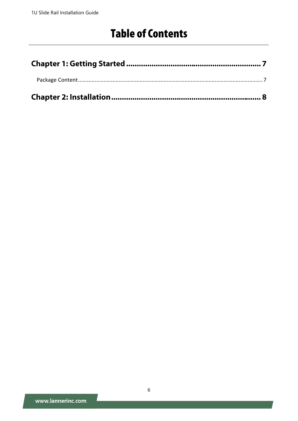# **Table of Contents**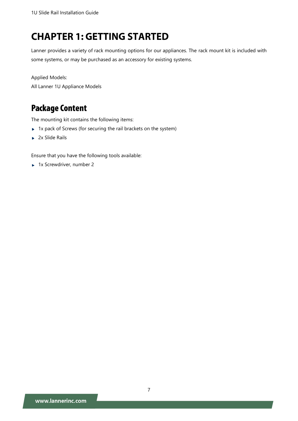# **CHAPTER 1: GETTING STARTED**

Lanner provides a variety of rack mounting options for our appliances. The rack mount kit is included with some systems, or may be purchased as an accessory for existing systems.

Applied Models: All Lanner 1U Appliance Models

### <span id="page-6-0"></span>**Package Content**

The mounting kit contains the following items:

- $\blacktriangleright$  1x pack of Screws (for securing the rail brackets on the system)
- $\blacktriangleright$  2x Slide Rails

Ensure that you have the following tools available:

► 1x Screwdriver, number 2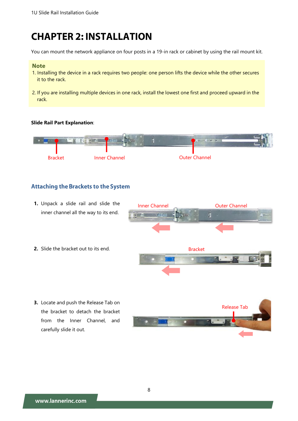# **CHAPTER 2: INSTALLATION**

You can mount the network appliance on four posts in a 19-in rack or cabinet by using the rail mount kit.

#### **Note**

- 1. Installing the device in a rack requires two people: one person lifts the device while the other secures it to the rack.
- 2. If you are installing multiple devices in one rack, install the lowest one first and proceed upward in the rack.

#### **Slide Rail Part Explanation**:



#### **Attaching the Brackets to the System**

**1.** Unpack a slide rail and slide the inner channel all the way to its end.







**3.** Locate and push the Release Tab on the bracket to detach the bracket from the Inner Channel, and carefully slide it out.

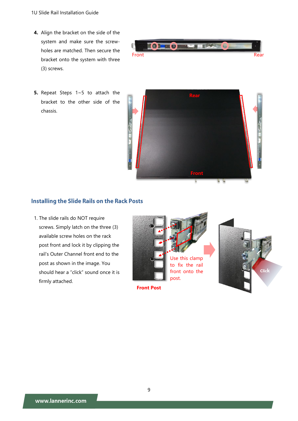- **4.** Align the bracket on the side of the system and make sure the screwholes are matched. Then secure the bracket onto the system with three (3) screws.
- **5.** Repeat Steps 1~5 to attach the bracket to the other side of the chassis.





#### **Installing the Slide Rails on the Rack Posts**

1. The slide rails do NOT require screws. Simply latch on the three (3) available screw holes on the rack post front and lock it by clipping the rail's Outer Channel front end to the post as shown in the image. You should hear a "click" sound once it is firmly attached.

![](_page_8_Picture_7.jpeg)

www.lannerinc.com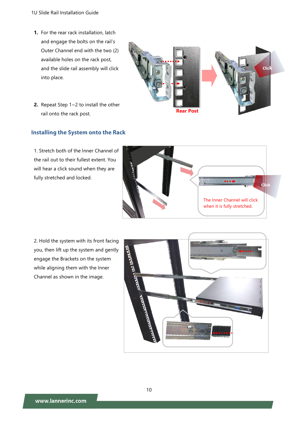- **1.** For the rear rack installation, latch and engage the bolts on the rail's Outer Channel end with the two (2) available holes on the rack post, and the slide rail assembly will click into place.
- **2.** Repeat Step 1~2 to install the other rail onto the rack post.

#### **Installing the System onto the Rack**

1. Stretch both of the Inner Channel of the rail out to their fullest extent. You will hear a click sound when they are fully stretched and locked.

2. Hold the system with its front facing you, then lift up the system and gently engage the Brackets on the system while aligning them with the Inner Channel as shown in the image.

![](_page_9_Picture_6.jpeg)

الشيط الياس.<br>الشيط الياس.<br>الشيط الياس.

![](_page_9_Picture_7.jpeg)

![](_page_9_Picture_8.jpeg)